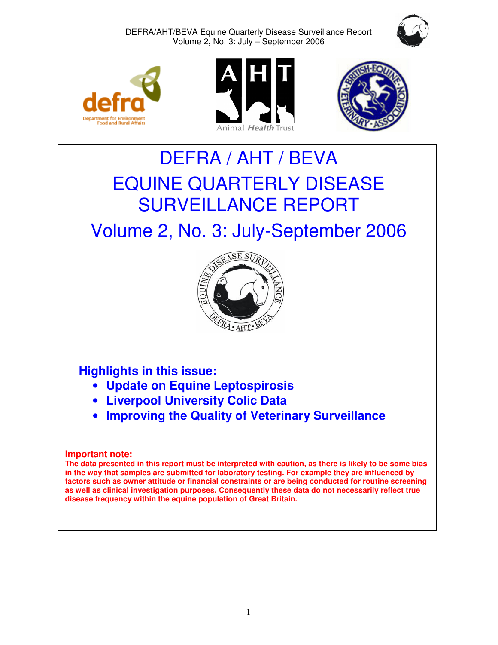









# DEFRA / AHT / BEVA EQUINE QUARTERLY DISEASE SURVEILLANCE REPORT

# Volume 2, No. 3: July-September 2006



# **Highlights in this issue:**

- **Update on Equine Leptospirosis**
- **Liverpool University Colic Data**
- **Improving the Quality of Veterinary Surveillance**

# **Important note:**

**The data presented in this report must be interpreted with caution, as there is likely to be some bias in the way that samples are submitted for laboratory testing. For example they are influenced by factors such as owner attitude or financial constraints or are being conducted for routine screening as well as clinical investigation purposes. Consequently these data do not necessarily reflect true disease frequency within the equine population of Great Britain.**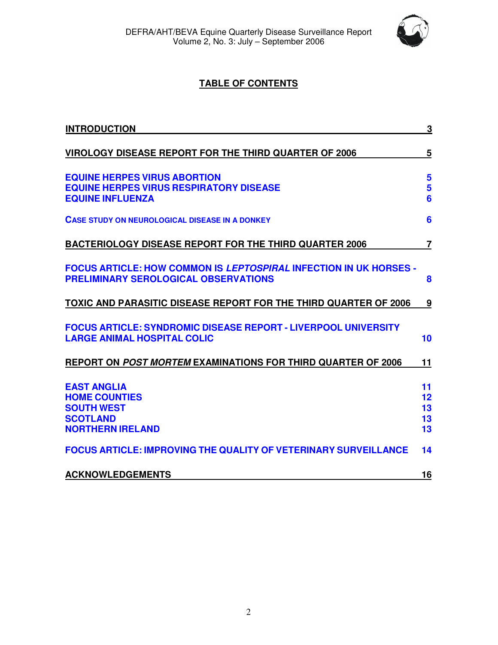

# **TABLE OF CONTENTS**

| <b>INTRODUCTION</b>                                                                                                     | $\overline{3}$             |
|-------------------------------------------------------------------------------------------------------------------------|----------------------------|
| <b>VIROLOGY DISEASE REPORT FOR THE THIRD QUARTER OF 2006</b>                                                            | $\overline{5}$             |
| <b>EQUINE HERPES VIRUS ABORTION</b><br><b>EQUINE HERPES VIRUS RESPIRATORY DISEASE</b><br><b>EQUINE INFLUENZA</b>        | 5<br>5<br>$6\phantom{a}$   |
| <b>CASE STUDY ON NEUROLOGICAL DISEASE IN A DONKEY</b>                                                                   | 6                          |
| <b>BACTERIOLOGY DISEASE REPORT FOR THE THIRD QUARTER 2006</b>                                                           | $\overline{7}$             |
| <b>FOCUS ARTICLE: HOW COMMON IS LEPTOSPIRAL INFECTION IN UK HORSES -</b><br><b>PRELIMINARY SEROLOGICAL OBSERVATIONS</b> | 8                          |
| TOXIC AND PARASITIC DISEASE REPORT FOR THE THIRD QUARTER OF 2006                                                        | <u>9</u>                   |
| <b>FOCUS ARTICLE: SYNDROMIC DISEASE REPORT - LIVERPOOL UNIVERSITY</b><br><b>LARGE ANIMAL HOSPITAL COLIC</b>             | 10                         |
| REPORT ON POST MORTEM EXAMINATIONS FOR THIRD QUARTER OF 2006                                                            | 11                         |
| <b>EAST ANGLIA</b><br><b>HOME COUNTIES</b><br><b>SOUTH WEST</b><br><b>SCOTLAND</b><br><b>NORTHERN IRELAND</b>           | 11<br>12<br>13<br>13<br>13 |
| <b>FOCUS ARTICLE: IMPROVING THE QUALITY OF VETERINARY SURVEILLANCE</b>                                                  | 14                         |
| <b>ACKNOWLEDGEMENTS</b>                                                                                                 | 16                         |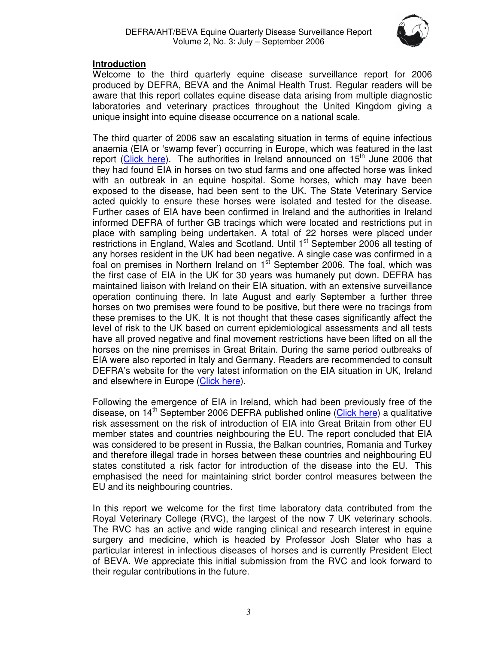

# **Introduction**

Welcome to the third quarterly equine disease surveillance report for 2006 produced by DEFRA, BEVA and the Animal Health Trust. Regular readers will be aware that this report collates equine disease data arising from multiple diagnostic laboratories and veterinary practices throughout the United Kingdom giving a unique insight into equine disease occurrence on a national scale.

The third quarter of 2006 saw an escalating situation in terms of equine infectious anaemia (EIA or 'swamp fever') occurring in Europe, which was featured in the last report (Click here). The authorities in Ireland announced on  $15<sup>th</sup>$  June 2006 that they had found EIA in horses on two stud farms and one affected horse was linked with an outbreak in an equine hospital. Some horses, which may have been exposed to the disease, had been sent to the UK. The State Veterinary Service acted quickly to ensure these horses were isolated and tested for the disease. Further cases of EIA have been confirmed in Ireland and the authorities in Ireland informed DEFRA of further GB tracings which were located and restrictions put in place with sampling being undertaken. A total of 22 horses were placed under restrictions in England, Wales and Scotland. Until 1<sup>st</sup> September 2006 all testing of any horses resident in the UK had been negative. A single case was confirmed in a foal on premises in Northern Ireland on  $1<sup>st</sup>$  September 2006. The foal, which was the first case of EIA in the UK for 30 years was humanely put down. DEFRA has maintained liaison with Ireland on their EIA situation, with an extensive surveillance operation continuing there. In late August and early September a further three horses on two premises were found to be positive, but there were no tracings from these premises to the UK. It is not thought that these cases significantly affect the level of risk to the UK based on current epidemiological assessments and all tests have all proved negative and final movement restrictions have been lifted on all the horses on the nine premises in Great Britain. During the same period outbreaks of EIA were also reported in Italy and Germany. Readers are recommended to consult DEFRA's website for the very latest information on the EIA situation in UK, Ireland and elsewhere in Europe (Click here).

Following the emergence of EIA in Ireland, which had been previously free of the disease, on 14<sup>th</sup> September 2006 DEFRA published online (Click here) a qualitative risk assessment on the risk of introduction of EIA into Great Britain from other EU member states and countries neighbouring the EU. The report concluded that EIA was considered to be present in Russia, the Balkan countries, Romania and Turkey and therefore illegal trade in horses between these countries and neighbouring EU states constituted a risk factor for introduction of the disease into the EU. This emphasised the need for maintaining strict border control measures between the EU and its neighbouring countries.

In this report we welcome for the first time laboratory data contributed from the Royal Veterinary College (RVC), the largest of the now 7 UK veterinary schools. The RVC has an active and wide ranging clinical and research interest in equine surgery and medicine, which is headed by Professor Josh Slater who has a particular interest in infectious diseases of horses and is currently President Elect of BEVA. We appreciate this initial submission from the RVC and look forward to their regular contributions in the future.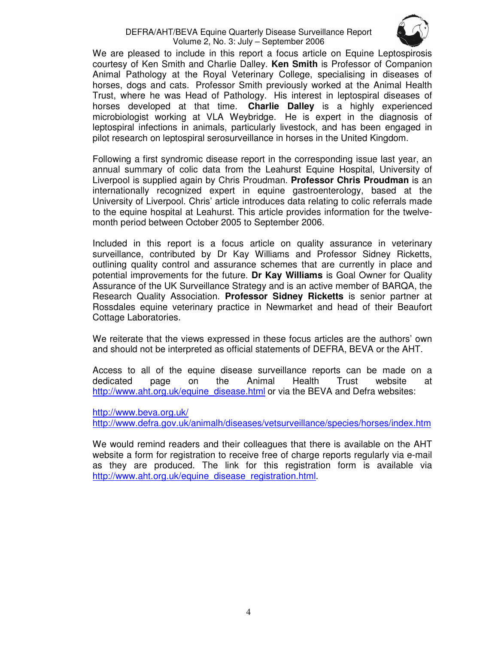#### DEFRA/AHT/BEVA Equine Quarterly Disease Surveillance Report Volume 2, No. 3: July – September 2006



We are pleased to include in this report a focus article on Equine Leptospirosis courtesy of Ken Smith and Charlie Dalley. **Ken Smith** is Professor of Companion Animal Pathology at the Royal Veterinary College, specialising in diseases of horses, dogs and cats. Professor Smith previously worked at the Animal Health Trust, where he was Head of Pathology. His interest in leptospiral diseases of horses developed at that time. **Charlie Dalley** is a highly experienced microbiologist working at VLA Weybridge. He is expert in the diagnosis of leptospiral infections in animals, particularly livestock, and has been engaged in pilot research on leptospiral serosurveillance in horses in the United Kingdom.

Following a first syndromic disease report in the corresponding issue last year, an annual summary of colic data from the Leahurst Equine Hospital, University of Liverpool is supplied again by Chris Proudman. **Professor Chris Proudman** is an internationally recognized expert in equine gastroenterology, based at the University of Liverpool. Chris' article introduces data relating to colic referrals made to the equine hospital at Leahurst. This article provides information for the twelvemonth period between October 2005 to September 2006.

Included in this report is a focus article on quality assurance in veterinary surveillance, contributed by Dr Kay Williams and Professor Sidney Ricketts, outlining quality control and assurance schemes that are currently in place and potential improvements for the future. **Dr Kay Williams** is Goal Owner for Quality Assurance of the UK Surveillance Strategy and is an active member of BARQA, the Research Quality Association. **Professor Sidney Ricketts** is senior partner at Rossdales equine veterinary practice in Newmarket and head of their Beaufort Cottage Laboratories.

We reiterate that the views expressed in these focus articles are the authors' own and should not be interpreted as official statements of DEFRA, BEVA or the AHT.

Access to all of the equine disease surveillance reports can be made on a dedicated page on the Animal Health Trust website at http://www.aht.org.uk/equine\_disease.html or via the BEVA and Defra websites:

http://www.beva.org.uk/

http://www.defra.gov.uk/animalh/diseases/vetsurveillance/species/horses/index.htm

We would remind readers and their colleagues that there is available on the AHT website a form for registration to receive free of charge reports regularly via e-mail as they are produced. The link for this registration form is available via http://www.aht.org.uk/equine\_disease\_registration.html.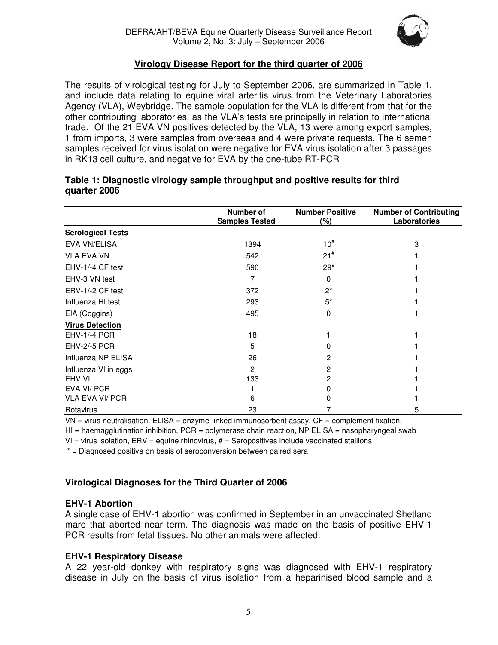

# **Virology Disease Report for the third quarter of 2006**

The results of virological testing for July to September 2006, are summarized in Table 1, and include data relating to equine viral arteritis virus from the Veterinary Laboratories Agency (VLA), Weybridge. The sample population for the VLA is different from that for the other contributing laboratories, as the VLA's tests are principally in relation to international trade. Of the 21 EVA VN positives detected by the VLA, 13 were among export samples, 1 from imports, 3 were samples from overseas and 4 were private requests. The 6 semen samples received for virus isolation were negative for EVA virus isolation after 3 passages in RK13 cell culture, and negative for EVA by the one-tube RT-PCR

|                          | Number of<br><b>Samples Tested</b> | <b>Number Positive</b><br>(%) | <b>Number of Contributing</b><br>Laboratories |
|--------------------------|------------------------------------|-------------------------------|-----------------------------------------------|
| <b>Serological Tests</b> |                                    |                               |                                               |
| EVA VN/ELISA             | 1394                               | $10^{#}$                      | 3                                             |
| <b>VLA EVA VN</b>        | 542                                | 21 <sup>#</sup>               |                                               |
| EHV-1/-4 CF test         | 590                                | $29*$                         |                                               |
| EHV-3 VN test            |                                    | 0                             |                                               |
| ERV-1/-2 CF test         | 372                                | $2^*$                         |                                               |
| Influenza HI test        | 293                                | $5^*$                         |                                               |
| EIA (Coggins)            | 495                                | 0                             |                                               |
| <b>Virus Detection</b>   |                                    |                               |                                               |
| <b>EHV-1/-4 PCR</b>      | 18                                 |                               |                                               |
| <b>EHV-2/-5 PCR</b>      | 5                                  |                               |                                               |
| Influenza NP ELISA       | 26                                 | 2                             |                                               |
| Influenza VI in eggs     | 2                                  | 2                             |                                               |
| EHV VI                   | 133                                | 2                             |                                               |
| EVA VI/ PCR              |                                    |                               |                                               |
| <b>VLA EVA VI/ PCR</b>   | 6                                  |                               |                                               |
| Rotavirus                | 23                                 |                               | 5                                             |

#### **Table 1: Diagnostic virology sample throughput and positive results for third quarter 2006**

 $VN =$  virus neutralisation,  $ELISA =$  enzyme-linked immunosorbent assay,  $CF =$  complement fixation,

 $HI = haemagglutination inhibition, PCR = polymerase chain reaction, NP ELISA = nasopharyngeal swab$ 

 $VI =$  virus isolation,  $EAV =$  equine rhinovirus,  $#$  = Seropositives include vaccinated stallions

\* = Diagnosed positive on basis of seroconversion between paired sera

# **Virological Diagnoses for the Third Quarter of 2006**

#### **EHV-1 Abortion**

A single case of EHV-1 abortion was confirmed in September in an unvaccinated Shetland mare that aborted near term. The diagnosis was made on the basis of positive EHV-1 PCR results from fetal tissues. No other animals were affected.

#### **EHV-1 Respiratory Disease**

A 22 year-old donkey with respiratory signs was diagnosed with EHV-1 respiratory disease in July on the basis of virus isolation from a heparinised blood sample and a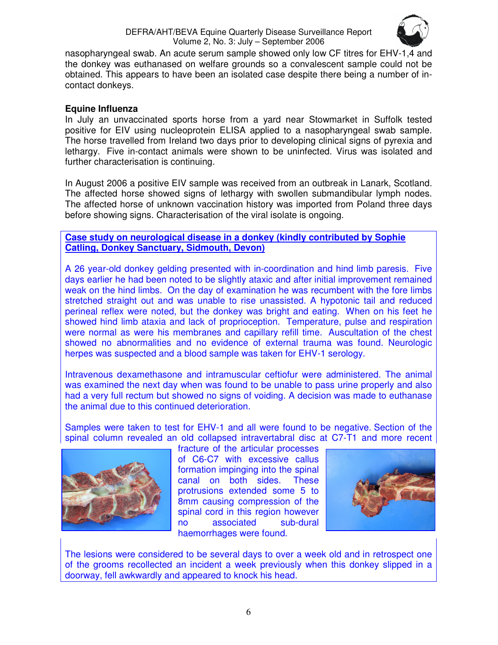

nasopharyngeal swab. An acute serum sample showed only low CF titres for EHV-1,4 and the donkey was euthanased on welfare grounds so a convalescent sample could not be obtained. This appears to have been an isolated case despite there being a number of incontact donkeys.

#### **Equine Influenza**

In July an unvaccinated sports horse from a yard near Stowmarket in Suffolk tested positive for EIV using nucleoprotein ELISA applied to a nasopharyngeal swab sample. The horse travelled from Ireland two days prior to developing clinical signs of pyrexia and lethargy. Five in-contact animals were shown to be uninfected. Virus was isolated and further characterisation is continuing.

In August 2006 a positive EIV sample was received from an outbreak in Lanark, Scotland. The affected horse showed signs of lethargy with swollen submandibular lymph nodes. The affected horse of unknown vaccination history was imported from Poland three days before showing signs. Characterisation of the viral isolate is ongoing.

#### **Case study on neurological disease in a donkey (kindly contributed by Sophie Catling, Donkey Sanctuary, Sidmouth, Devon)**

A 26 year-old donkey gelding presented with in-coordination and hind limb paresis. Five days earlier he had been noted to be slightly ataxic and after initial improvement remained weak on the hind limbs. On the day of examination he was recumbent with the fore limbs stretched straight out and was unable to rise unassisted. A hypotonic tail and reduced perineal reflex were noted, but the donkey was bright and eating. When on his feet he showed hind limb ataxia and lack of proprioception. Temperature, pulse and respiration were normal as were his membranes and capillary refill time. Auscultation of the chest showed no abnormalities and no evidence of external trauma was found. Neurologic herpes was suspected and a blood sample was taken for EHV-1 serology.

Intravenous dexamethasone and intramuscular ceftiofur were administered. The animal was examined the next day when was found to be unable to pass urine properly and also had a very full rectum but showed no signs of voiding. A decision was made to euthanase the animal due to this continued deterioration.

Samples were taken to test for EHV-1 and all were found to be negative. Section of the spinal column revealed an old collapsed intravertabral disc at C7-T1 and more recent



fracture of the articular processes of C6-C7 with excessive callus formation impinging into the spinal canal on both sides. These protrusions extended some 5 to 8mm causing compression of the spinal cord in this region however no associated sub-dural haemorrhages were found.



The lesions were considered to be several days to over a week old and in retrospect one of the grooms recollected an incident a week previously when this donkey slipped in a doorway, fell awkwardly and appeared to knock his head.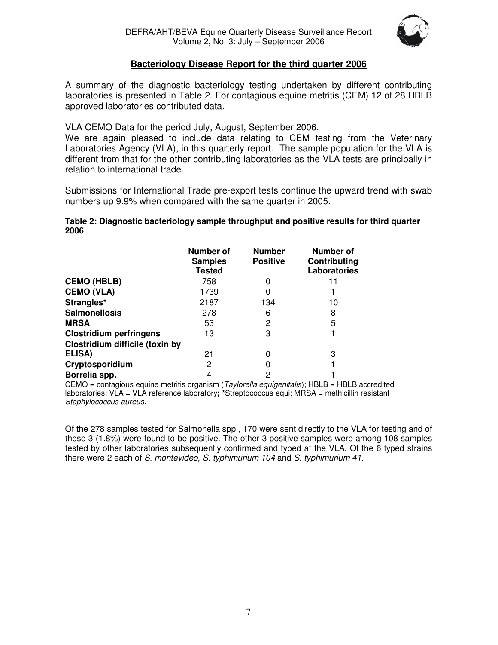

# **Bacteriology Disease Report for the third quarter 2006**

A summary of the diagnostic bacteriology testing undertaken by different contributing laboratories is presented in Table 2. For contagious equine metritis (CEM) 12 of 28 HBLB approved laboratories contributed data.

### VLA CEMO Data for the period July, August, September 2006.

We are again pleased to include data relating to CEM testing from the Veterinary Laboratories Agency (VLA), in this quarterly report. The sample population for the VLA is different from that for the other contributing laboratories as the VLA tests are principally in relation to international trade.

Submissions for International Trade pre-export tests continue the upward trend with swab numbers up 9.9% when compared with the same quarter in 2005.

#### **Table 2: Diagnostic bacteriology sample throughput and positive results for third quarter 2006**

|                                 | Number of<br><b>Samples</b><br><b>Tested</b> | <b>Number</b><br><b>Positive</b> | <b>Number of</b><br>Contributing<br>Laboratories |
|---------------------------------|----------------------------------------------|----------------------------------|--------------------------------------------------|
| <b>CEMO (HBLB)</b>              | 758                                          |                                  |                                                  |
| <b>CEMO (VLA)</b>               | 1739                                         |                                  |                                                  |
| Strangles*                      | 2187                                         | 134                              | 10                                               |
| <b>Salmonellosis</b>            | 278                                          | 6                                | 8                                                |
| <b>MRSA</b>                     | 53                                           | 2                                | 5                                                |
| <b>Clostridium perfringens</b>  | 13                                           | 3                                |                                                  |
| Clostridium difficile (toxin by |                                              |                                  |                                                  |
| ELISA)                          | 21                                           | ი                                | 3                                                |
| Cryptosporidium                 | 2                                            |                                  |                                                  |
| Borrelia spp.                   |                                              | 2                                |                                                  |

 $CEMO =$  contagious equine metritis organism (*Taylorella equigenitalis*); HBLB = HBLB accredited laboratories; VLA = VLA reference laboratory**; \***Streptococcus equi; MRSA = methicillin resistant Staphylococcus aureus.

Of the 278 samples tested for Salmonella spp., 170 were sent directly to the VLA for testing and of these 3 (1.8%) were found to be positive. The other 3 positive samples were among 108 samples tested by other laboratories subsequently confirmed and typed at the VLA. Of the 6 typed strains there were 2 each of S. montevideo, S. typhimurium 104 and S. typhimurium 41.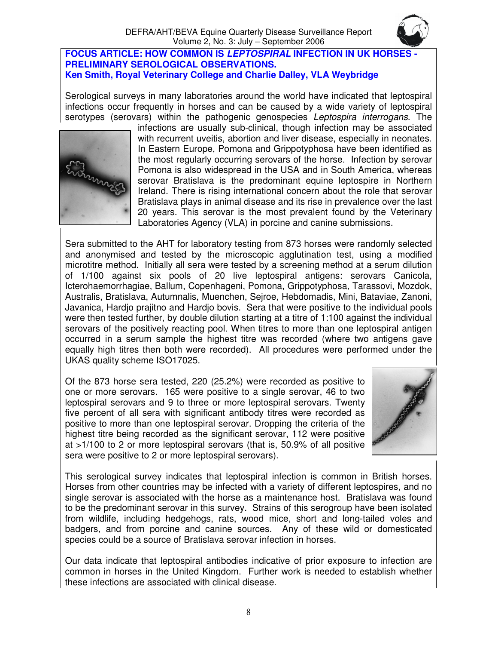#### **FOCUS ARTICLE: HOW COMMON IS LEPTOSPIRAL INFECTION IN UK HORSES - PRELIMINARY SEROLOGICAL OBSERVATIONS. Ken Smith, Royal Veterinary College and Charlie Dalley, VLA Weybridge**

Serological surveys in many laboratories around the world have indicated that leptospiral infections occur frequently in horses and can be caused by a wide variety of leptospiral serotypes (serovars) within the pathogenic genospecies *Leptospira interrogans*. The



infections are usually sub-clinical, though infection may be associated with recurrent uveitis, abortion and liver disease, especially in neonates. In Eastern Europe, Pomona and Grippotyphosa have been identified as the most regularly occurring serovars of the horse. Infection by serovar Pomona is also widespread in the USA and in South America, whereas serovar Bratislava is the predominant equine leptospire in Northern Ireland. There is rising international concern about the role that serovar Bratislava plays in animal disease and its rise in prevalence over the last 20 years. This serovar is the most prevalent found by the Veterinary Laboratories Agency (VLA) in porcine and canine submissions.

Sera submitted to the AHT for laboratory testing from 873 horses were randomly selected and anonymised and tested by the microscopic agglutination test, using a modified microtitre method. Initially all sera were tested by a screening method at a serum dilution of 1/100 against six pools of 20 live leptospiral antigens: serovars Canicola, Icterohaemorrhagiae, Ballum, Copenhageni, Pomona, Grippotyphosa, Tarassovi, Mozdok, Australis, Bratislava, Autumnalis, Muenchen, Sejroe, Hebdomadis, Mini, Bataviae, Zanoni, Javanica, Hardjo prajitno and Hardjo bovis. Sera that were positive to the individual pools were then tested further, by double dilution starting at a titre of 1:100 against the individual serovars of the positively reacting pool. When titres to more than one leptospiral antigen occurred in a serum sample the highest titre was recorded (where two antigens gave equally high titres then both were recorded). All procedures were performed under the UKAS quality scheme ISO17025.

Of the 873 horse sera tested, 220 (25.2%) were recorded as positive to one or more serovars. 165 were positive to a single serovar, 46 to two leptospiral serovars and 9 to three or more leptospiral serovars. Twenty five percent of all sera with significant antibody titres were recorded as positive to more than one leptospiral serovar. Dropping the criteria of the highest titre being recorded as the significant serovar, 112 were positive at >1/100 to 2 or more leptospiral serovars (that is, 50.9% of all positive sera were positive to 2 or more leptospiral serovars).



This serological survey indicates that leptospiral infection is common in British horses. Horses from other countries may be infected with a variety of different leptospires, and no single serovar is associated with the horse as a maintenance host. Bratislava was found to be the predominant serovar in this survey. Strains of this serogroup have been isolated from wildlife, including hedgehogs, rats, wood mice, short and long-tailed voles and badgers, and from porcine and canine sources. Any of these wild or domesticated species could be a source of Bratislava serovar infection in horses.

Our data indicate that leptospiral antibodies indicative of prior exposure to infection are common in horses in the United Kingdom. Further work is needed to establish whether these infections are associated with clinical disease.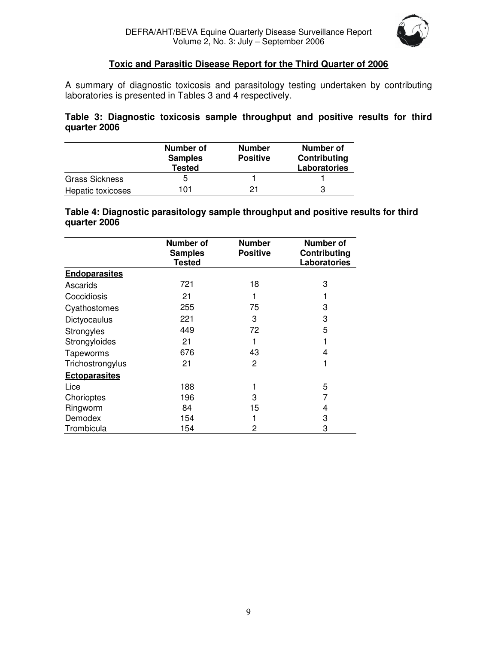

#### **Toxic and Parasitic Disease Report for the Third Quarter of 2006**

A summary of diagnostic toxicosis and parasitology testing undertaken by contributing laboratories is presented in Tables 3 and 4 respectively.

**Table 3: Diagnostic toxicosis sample throughput and positive results for third quarter 2006** 

|                       | Number of<br><b>Samples</b><br><b>Tested</b> | <b>Number</b><br><b>Positive</b> | Number of<br>Contributing<br><b>Laboratories</b> |
|-----------------------|----------------------------------------------|----------------------------------|--------------------------------------------------|
| <b>Grass Sickness</b> | 5                                            |                                  |                                                  |
| Hepatic toxicoses     | 101                                          | 21                               | 3                                                |

**Table 4: Diagnostic parasitology sample throughput and positive results for third quarter 2006** 

|                      | Number of<br><b>Samples</b><br><b>Tested</b> | <b>Number</b><br><b>Positive</b> | Number of<br>Contributing<br><b>Laboratories</b> |
|----------------------|----------------------------------------------|----------------------------------|--------------------------------------------------|
| <b>Endoparasites</b> |                                              |                                  |                                                  |
| Ascarids             | 721                                          | 18                               | 3                                                |
| Coccidiosis          | 21                                           |                                  |                                                  |
| Cyathostomes         | 255                                          | 75                               | 3                                                |
| Dictyocaulus         | 221                                          | 3                                | 3                                                |
| Strongyles           | 449                                          | 72                               | 5                                                |
| Strongyloides        | 21                                           |                                  |                                                  |
| Tapeworms            | 676                                          | 43                               | 4                                                |
| Trichostrongylus     | 21                                           | 2                                |                                                  |
| <b>Ectoparasites</b> |                                              |                                  |                                                  |
| Lice                 | 188                                          |                                  | 5                                                |
| Chorioptes           | 196                                          | 3                                |                                                  |
| Ringworm             | 84                                           | 15                               | 4                                                |
| Demodex              | 154                                          |                                  | 3                                                |
| Trombicula           | 154                                          | 2                                | 3                                                |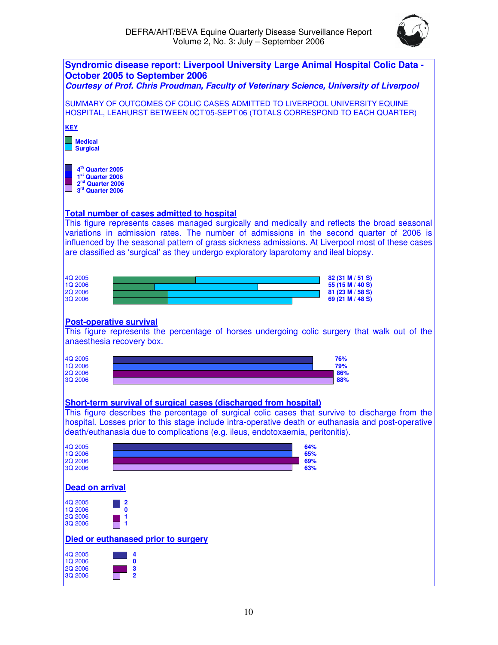

| <b>Syndromic disease report: Liverpool University Large Animal Hospital Colic Data -</b><br>October 2005 to September 2006<br>Courtesy of Prof. Chris Proudman, Faculty of Veterinary Science, University of Liverpool                                                                                                                                                                  |
|-----------------------------------------------------------------------------------------------------------------------------------------------------------------------------------------------------------------------------------------------------------------------------------------------------------------------------------------------------------------------------------------|
| SUMMARY OF OUTCOMES OF COLIC CASES ADMITTED TO LIVERPOOL UNIVERSITY EQUINE<br>HOSPITAL, LEAHURST BETWEEN 0CT'05-SEPT'06 (TOTALS CORRESPOND TO EACH QUARTER)                                                                                                                                                                                                                             |
| <b>KEY</b>                                                                                                                                                                                                                                                                                                                                                                              |
| <b>Medical</b><br><b>Surgical</b>                                                                                                                                                                                                                                                                                                                                                       |
| 4 <sup>th</sup> Quarter 2005<br>1 <sup>st</sup> Quarter 2006<br>2 <sup>nd</sup> Quarter 2006<br>3rd Quarter 2006                                                                                                                                                                                                                                                                        |
| <b>Total number of cases admitted to hospital</b>                                                                                                                                                                                                                                                                                                                                       |
| This figure represents cases managed surgically and medically and reflects the broad seasonal<br>variations in admission rates. The number of admissions in the second quarter of 2006 is<br>influenced by the seasonal pattern of grass sickness admissions. At Liverpool most of these cases<br>are classified as 'surgical' as they undergo exploratory laparotomy and ileal biopsy. |
| 4Q 2005<br>82 (31 M / 51 S)<br>1Q 2006<br>55 (15 M / 40 S)                                                                                                                                                                                                                                                                                                                              |
| <b>2Q 2006</b><br>81 (23 M / 58 S)<br>3Q 2006<br>69 (21 M / 48 S)                                                                                                                                                                                                                                                                                                                       |
| <b>Post-operative survival</b><br>This figure represents the percentage of horses undergoing colic surgery that walk out of the<br>anaesthesia recovery box.                                                                                                                                                                                                                            |
| 4Q 2005<br>76%<br>1Q 2006<br>79%                                                                                                                                                                                                                                                                                                                                                        |
| <b>2Q 2006</b><br>86%<br>3Q 2006<br>88%                                                                                                                                                                                                                                                                                                                                                 |
|                                                                                                                                                                                                                                                                                                                                                                                         |
| Short-term survival of surgical cases (discharged from hospital)                                                                                                                                                                                                                                                                                                                        |
| This figure describes the percentage of surgical colic cases that survive to discharge from the<br>hospital. Losses prior to this stage include intra-operative death or euthanasia and post-operative<br>death/euthanasia due to complications (e.g. ileus, endotoxaemia, peritonitis).                                                                                                |
| 64%<br>4Q 2005<br>1Q 2006                                                                                                                                                                                                                                                                                                                                                               |
| 65%<br>2Q 2006<br>69%<br>63%                                                                                                                                                                                                                                                                                                                                                            |
| 3Q 2006<br><b>Dead on arrival</b>                                                                                                                                                                                                                                                                                                                                                       |
|                                                                                                                                                                                                                                                                                                                                                                                         |
| 4Q 2005<br>$\mathbf{0}$<br>1Q 2006                                                                                                                                                                                                                                                                                                                                                      |
| 2Q 2006<br>3Q 2006                                                                                                                                                                                                                                                                                                                                                                      |
| Died or euthanased prior to surgery                                                                                                                                                                                                                                                                                                                                                     |
| 4Q 2005<br>4<br>1Q 2006<br>0                                                                                                                                                                                                                                                                                                                                                            |
| 2Q 2006<br>3<br>$\overline{\mathbf{2}}$<br>3Q 2006                                                                                                                                                                                                                                                                                                                                      |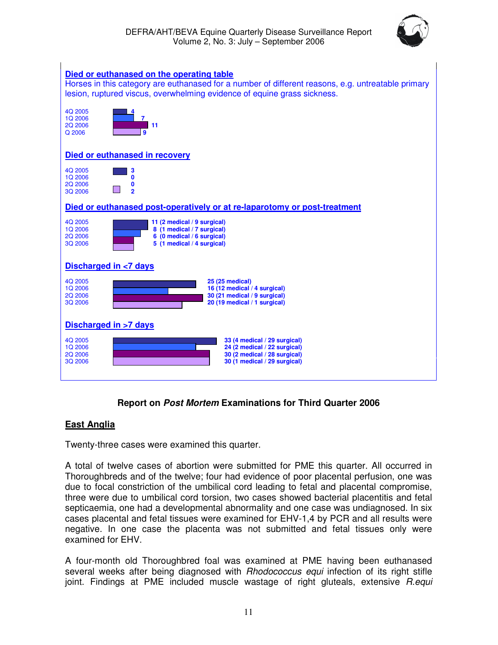



# **Report on Post Mortem Examinations for Third Quarter 2006**

#### **East Anglia**

Twenty-three cases were examined this quarter.

A total of twelve cases of abortion were submitted for PME this quarter. All occurred in Thoroughbreds and of the twelve; four had evidence of poor placental perfusion, one was due to focal constriction of the umbilical cord leading to fetal and placental compromise, three were due to umbilical cord torsion, two cases showed bacterial placentitis and fetal septicaemia, one had a developmental abnormality and one case was undiagnosed. In six cases placental and fetal tissues were examined for EHV-1,4 by PCR and all results were negative. In one case the placenta was not submitted and fetal tissues only were examined for EHV.

A four-month old Thoroughbred foal was examined at PME having been euthanased several weeks after being diagnosed with *Rhodococcus equi* infection of its right stifle joint. Findings at PME included muscle wastage of right gluteals, extensive R.equi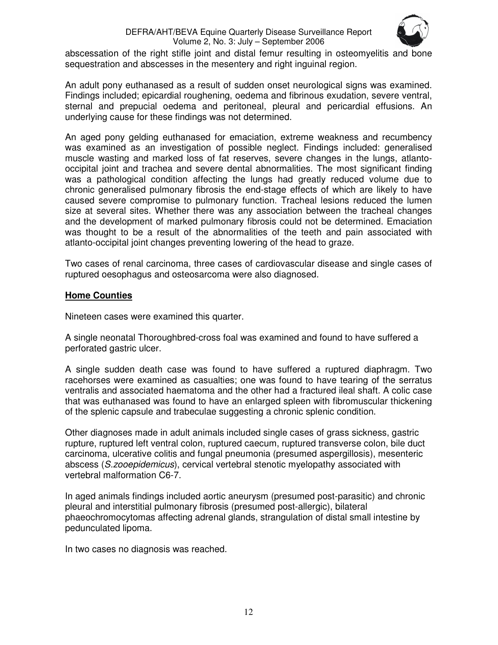#### DEFRA/AHT/BEVA Equine Quarterly Disease Surveillance Report Volume 2, No. 3: July – September 2006



abscessation of the right stifle joint and distal femur resulting in osteomyelitis and bone sequestration and abscesses in the mesentery and right inguinal region.

An adult pony euthanased as a result of sudden onset neurological signs was examined. Findings included; epicardial roughening, oedema and fibrinous exudation, severe ventral, sternal and prepucial oedema and peritoneal, pleural and pericardial effusions. An underlying cause for these findings was not determined.

An aged pony gelding euthanased for emaciation, extreme weakness and recumbency was examined as an investigation of possible neglect. Findings included: generalised muscle wasting and marked loss of fat reserves, severe changes in the lungs, atlantooccipital joint and trachea and severe dental abnormalities. The most significant finding was a pathological condition affecting the lungs had greatly reduced volume due to chronic generalised pulmonary fibrosis the end-stage effects of which are likely to have caused severe compromise to pulmonary function. Tracheal lesions reduced the lumen size at several sites. Whether there was any association between the tracheal changes and the development of marked pulmonary fibrosis could not be determined. Emaciation was thought to be a result of the abnormalities of the teeth and pain associated with atlanto-occipital joint changes preventing lowering of the head to graze.

Two cases of renal carcinoma, three cases of cardiovascular disease and single cases of ruptured oesophagus and osteosarcoma were also diagnosed.

#### **Home Counties**

Nineteen cases were examined this quarter.

A single neonatal Thoroughbred-cross foal was examined and found to have suffered a perforated gastric ulcer.

A single sudden death case was found to have suffered a ruptured diaphragm. Two racehorses were examined as casualties; one was found to have tearing of the serratus ventralis and associated haematoma and the other had a fractured ileal shaft. A colic case that was euthanased was found to have an enlarged spleen with fibromuscular thickening of the splenic capsule and trabeculae suggesting a chronic splenic condition.

Other diagnoses made in adult animals included single cases of grass sickness, gastric rupture, ruptured left ventral colon, ruptured caecum, ruptured transverse colon, bile duct carcinoma, ulcerative colitis and fungal pneumonia (presumed aspergillosis), mesenteric abscess (S.zooepidemicus), cervical vertebral stenotic myelopathy associated with vertebral malformation C6-7.

In aged animals findings included aortic aneurysm (presumed post-parasitic) and chronic pleural and interstitial pulmonary fibrosis (presumed post-allergic), bilateral phaeochromocytomas affecting adrenal glands, strangulation of distal small intestine by pedunculated lipoma.

In two cases no diagnosis was reached.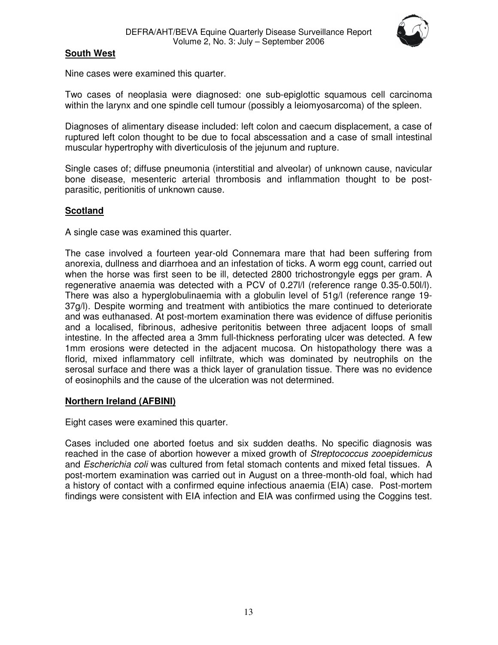

# **South West**

Nine cases were examined this quarter.

Two cases of neoplasia were diagnosed: one sub-epiglottic squamous cell carcinoma within the larynx and one spindle cell tumour (possibly a leiomyosarcoma) of the spleen.

Diagnoses of alimentary disease included: left colon and caecum displacement, a case of ruptured left colon thought to be due to focal abscessation and a case of small intestinal muscular hypertrophy with diverticulosis of the jejunum and rupture.

Single cases of; diffuse pneumonia (interstitial and alveolar) of unknown cause, navicular bone disease, mesenteric arterial thrombosis and inflammation thought to be postparasitic, peritionitis of unknown cause.

#### **Scotland**

A single case was examined this quarter.

The case involved a fourteen year-old Connemara mare that had been suffering from anorexia, dullness and diarrhoea and an infestation of ticks. A worm egg count, carried out when the horse was first seen to be ill, detected 2800 trichostrongyle eggs per gram. A regenerative anaemia was detected with a PCV of 0.27l/l (reference range 0.35-0.50l/l). There was also a hyperglobulinaemia with a globulin level of 51g/l (reference range 19- 37g/l). Despite worming and treatment with antibiotics the mare continued to deteriorate and was euthanased. At post-mortem examination there was evidence of diffuse perionitis and a localised, fibrinous, adhesive peritonitis between three adjacent loops of small intestine. In the affected area a 3mm full-thickness perforating ulcer was detected. A few 1mm erosions were detected in the adjacent mucosa. On histopathology there was a florid, mixed inflammatory cell infiltrate, which was dominated by neutrophils on the serosal surface and there was a thick layer of granulation tissue. There was no evidence of eosinophils and the cause of the ulceration was not determined.

#### **Northern Ireland (AFBINI)**

Eight cases were examined this quarter.

Cases included one aborted foetus and six sudden deaths. No specific diagnosis was reached in the case of abortion however a mixed growth of *Streptococcus zooepidemicus* and Escherichia coli was cultured from fetal stomach contents and mixed fetal tissues. A post-mortem examination was carried out in August on a three-month-old foal, which had a history of contact with a confirmed equine infectious anaemia (EIA) case. Post-mortem findings were consistent with EIA infection and EIA was confirmed using the Coggins test.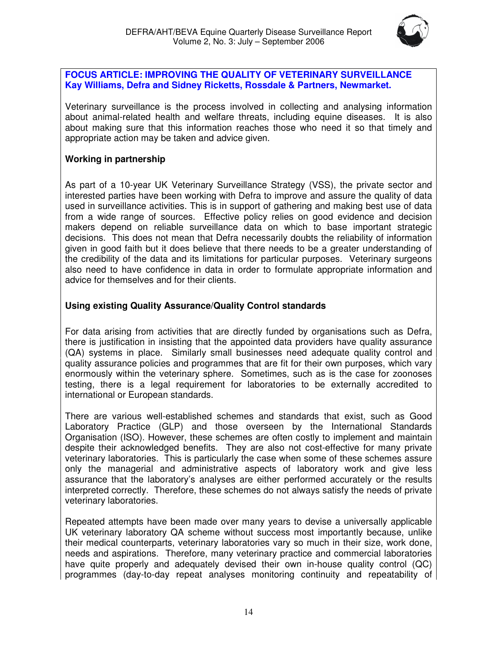

#### **FOCUS ARTICLE: IMPROVING THE QUALITY OF VETERINARY SURVEILLANCE Kay Williams, Defra and Sidney Ricketts, Rossdale & Partners, Newmarket.**

Veterinary surveillance is the process involved in collecting and analysing information about animal-related health and welfare threats, including equine diseases. It is also about making sure that this information reaches those who need it so that timely and appropriate action may be taken and advice given.

# **Working in partnership**

As part of a 10-year UK Veterinary Surveillance Strategy (VSS), the private sector and interested parties have been working with Defra to improve and assure the quality of data used in surveillance activities. This is in support of gathering and making best use of data from a wide range of sources. Effective policy relies on good evidence and decision makers depend on reliable surveillance data on which to base important strategic decisions. This does not mean that Defra necessarily doubts the reliability of information given in good faith but it does believe that there needs to be a greater understanding of the credibility of the data and its limitations for particular purposes. Veterinary surgeons also need to have confidence in data in order to formulate appropriate information and advice for themselves and for their clients.

# **Using existing Quality Assurance/Quality Control standards**

For data arising from activities that are directly funded by organisations such as Defra, there is justification in insisting that the appointed data providers have quality assurance (QA) systems in place. Similarly small businesses need adequate quality control and quality assurance policies and programmes that are fit for their own purposes, which vary enormously within the veterinary sphere. Sometimes, such as is the case for zoonoses testing, there is a legal requirement for laboratories to be externally accredited to international or European standards.

There are various well-established schemes and standards that exist, such as Good Laboratory Practice (GLP) and those overseen by the International Standards Organisation (ISO). However, these schemes are often costly to implement and maintain despite their acknowledged benefits. They are also not cost-effective for many private veterinary laboratories. This is particularly the case when some of these schemes assure only the managerial and administrative aspects of laboratory work and give less assurance that the laboratory's analyses are either performed accurately or the results interpreted correctly. Therefore, these schemes do not always satisfy the needs of private veterinary laboratories.

Repeated attempts have been made over many years to devise a universally applicable UK veterinary laboratory QA scheme without success most importantly because, unlike their medical counterparts, veterinary laboratories vary so much in their size, work done, needs and aspirations. Therefore, many veterinary practice and commercial laboratories have quite properly and adequately devised their own in-house quality control (QC) programmes (day-to-day repeat analyses monitoring continuity and repeatability of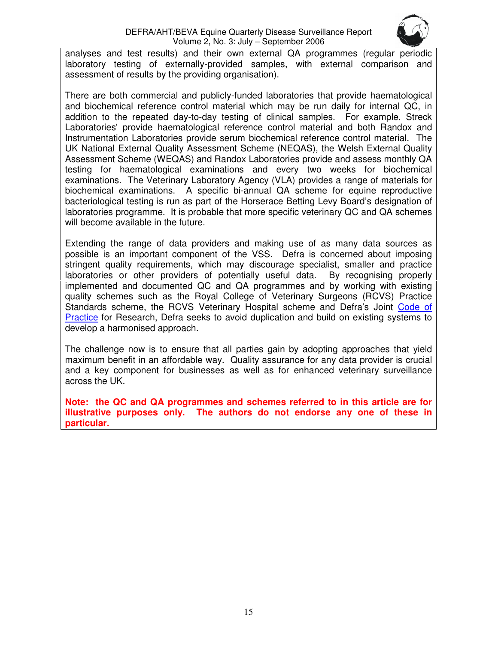#### DEFRA/AHT/BEVA Equine Quarterly Disease Surveillance Report Volume 2, No. 3: July – September 2006



analyses and test results) and their own external QA programmes (regular periodic laboratory testing of externally-provided samples, with external comparison and assessment of results by the providing organisation).

There are both commercial and publicly-funded laboratories that provide haematological and biochemical reference control material which may be run daily for internal QC, in addition to the repeated day-to-day testing of clinical samples. For example, Streck Laboratories' provide haematological reference control material and both Randox and Instrumentation Laboratories provide serum biochemical reference control material. The UK National External Quality Assessment Scheme (NEQAS), the Welsh External Quality Assessment Scheme (WEQAS) and Randox Laboratories provide and assess monthly QA testing for haematological examinations and every two weeks for biochemical examinations. The Veterinary Laboratory Agency (VLA) provides a range of materials for biochemical examinations. A specific bi-annual QA scheme for equine reproductive bacteriological testing is run as part of the Horserace Betting Levy Board's designation of laboratories programme. It is probable that more specific veterinary QC and QA schemes will become available in the future.

Extending the range of data providers and making use of as many data sources as possible is an important component of the VSS. Defra is concerned about imposing stringent quality requirements, which may discourage specialist, smaller and practice laboratories or other providers of potentially useful data. By recognising properly implemented and documented QC and QA programmes and by working with existing quality schemes such as the Royal College of Veterinary Surgeons (RCVS) Practice Standards scheme, the RCVS Veterinary Hospital scheme and Defra's Joint Code of Practice for Research, Defra seeks to avoid duplication and build on existing systems to develop a harmonised approach.

The challenge now is to ensure that all parties gain by adopting approaches that yield maximum benefit in an affordable way. Quality assurance for any data provider is crucial and a key component for businesses as well as for enhanced veterinary surveillance across the UK.

**Note: the QC and QA programmes and schemes referred to in this article are for illustrative purposes only. The authors do not endorse any one of these in particular.**